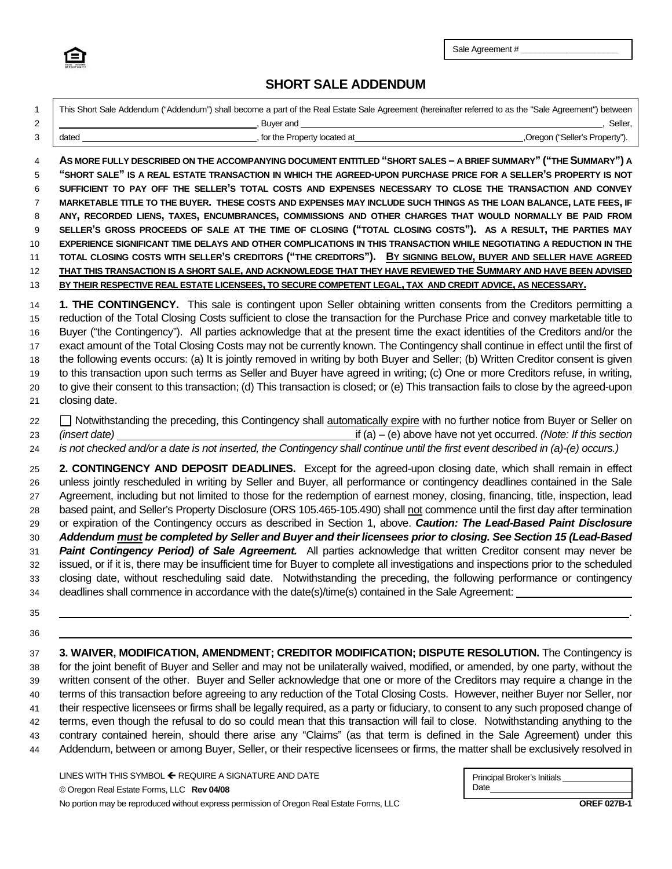

Sale Agreement # **\_\_\_\_\_\_\_\_\_\_\_\_\_\_\_\_\_\_\_\_\_**

## **SHORT SALE ADDENDUM**

| 1<br>2                                                   | This Short Sale Addendum ("Addendum") shall become a part of the Real Estate Sale Agreement (hereinafter referred to as the "Sale Agreement") between<br>Seller,<br><u> 1989 - Johann Barn, mars eta bainar eta idazlea (</u>                                                                                                                                                                                                                                                                                                                                                                                                                                                                                                                                                                                                                                                                                                                                                                                                                                                                                                                                                                                                              |
|----------------------------------------------------------|--------------------------------------------------------------------------------------------------------------------------------------------------------------------------------------------------------------------------------------------------------------------------------------------------------------------------------------------------------------------------------------------------------------------------------------------------------------------------------------------------------------------------------------------------------------------------------------------------------------------------------------------------------------------------------------------------------------------------------------------------------------------------------------------------------------------------------------------------------------------------------------------------------------------------------------------------------------------------------------------------------------------------------------------------------------------------------------------------------------------------------------------------------------------------------------------------------------------------------------------|
| 3                                                        | _, for the Property located at ______<br>,Oregon ("Seller's Property").<br>dated                                                                                                                                                                                                                                                                                                                                                                                                                                                                                                                                                                                                                                                                                                                                                                                                                                                                                                                                                                                                                                                                                                                                                           |
| 4<br>5<br>6<br>7<br>8<br>9<br>10<br>11<br>12<br>13       | AS MORE FULLY DESCRIBED ON THE ACCOMPANYING DOCUMENT ENTITLED "SHORT SALES - A BRIEF SUMMARY" ("THE SUMMARY") A<br>"SHORT SALE" IS A REAL ESTATE TRANSACTION IN WHICH THE AGREED-UPON PURCHASE PRICE FOR A SELLER'S PROPERTY IS NOT<br>SUFFICIENT TO PAY OFF THE SELLER'S TOTAL COSTS AND EXPENSES NECESSARY TO CLOSE THE TRANSACTION AND CONVEY<br>MARKETABLE TITLE TO THE BUYER. THESE COSTS AND EXPENSES MAY INCLUDE SUCH THINGS AS THE LOAN BALANCE, LATE FEES, IF<br>ANY, RECORDED LIENS, TAXES, ENCUMBRANCES, COMMISSIONS AND OTHER CHARGES THAT WOULD NORMALLY BE PAID FROM<br>SELLER'S GROSS PROCEEDS OF SALE AT THE TIME OF CLOSING ("TOTAL CLOSING COSTS"). AS A RESULT, THE PARTIES MAY<br>EXPERIENCE SIGNIFICANT TIME DELAYS AND OTHER COMPLICATIONS IN THIS TRANSACTION WHILE NEGOTIATING A REDUCTION IN THE<br>TOTAL CLOSING COSTS WITH SELLER'S CREDITORS ("THE CREDITORS"). BY SIGNING BELOW, BUYER AND SELLER HAVE AGREED<br>THAT THIS TRANSACTION IS A SHORT SALE, AND ACKNOWLEDGE THAT THEY HAVE REVIEWED THE SUMMARY AND HAVE BEEN ADVISED<br>BY THEIR RESPECTIVE REAL ESTATE LICENSEES, TO SECURE COMPETENT LEGAL, TAX AND CREDIT ADVICE, AS NECESSARY.                                                               |
| 14<br>15<br>16<br>17<br>18<br>19<br>20<br>21             | 1. THE CONTINGENCY. This sale is contingent upon Seller obtaining written consents from the Creditors permitting a<br>reduction of the Total Closing Costs sufficient to close the transaction for the Purchase Price and convey marketable title to<br>Buyer ("the Contingency"). All parties acknowledge that at the present time the exact identities of the Creditors and/or the<br>exact amount of the Total Closing Costs may not be currently known. The Contingency shall continue in effect until the first of<br>the following events occurs: (a) It is jointly removed in writing by both Buyer and Seller; (b) Written Creditor consent is given<br>to this transaction upon such terms as Seller and Buyer have agreed in writing; (c) One or more Creditors refuse, in writing,<br>to give their consent to this transaction; (d) This transaction is closed; or (e) This transaction fails to close by the agreed-upon<br>closing date.                                                                                                                                                                                                                                                                                     |
| 22<br>23<br>24                                           | □ Notwithstanding the preceding, this Contingency shall automatically expire with no further notice from Buyer or Seller on<br>$\overline{f}$ (a) – (e) above have not yet occurred. (Note: If this section<br>(insert date) example and the set of the set of the set of the set of the set of the set of the set of the set of the set of the set of the set of the set of the set of the set of the set of the set of the set of the set o<br>is not checked and/or a date is not inserted, the Contingency shall continue until the first event described in (a)-(e) occurs.)                                                                                                                                                                                                                                                                                                                                                                                                                                                                                                                                                                                                                                                          |
| 25<br>26<br>27<br>28<br>29<br>30<br>31<br>32<br>33<br>34 | 2. CONTINGENCY AND DEPOSIT DEADLINES. Except for the agreed-upon closing date, which shall remain in effect<br>unless jointly rescheduled in writing by Seller and Buyer, all performance or contingency deadlines contained in the Sale<br>Agreement, including but not limited to those for the redemption of earnest money, closing, financing, title, inspection, lead<br>based paint, and Seller's Property Disclosure (ORS 105.465-105.490) shall not commence until the first day after termination<br>or expiration of the Contingency occurs as described in Section 1, above. Caution: The Lead-Based Paint Disclosure<br>Addendum must be completed by Seller and Buyer and their licensees prior to closing. See Section 15 (Lead-Based<br>Paint Contingency Period) of Sale Agreement. All parties acknowledge that written Creditor consent may never be<br>issued, or if it is, there may be insufficient time for Buyer to complete all investigations and inspections prior to the scheduled<br>closing date, without rescheduling said date. Notwithstanding the preceding, the following performance or contingency<br>deadlines shall commence in accordance with the date(s)/time(s) contained in the Sale Agreement: |
| 35                                                       |                                                                                                                                                                                                                                                                                                                                                                                                                                                                                                                                                                                                                                                                                                                                                                                                                                                                                                                                                                                                                                                                                                                                                                                                                                            |
| 36                                                       |                                                                                                                                                                                                                                                                                                                                                                                                                                                                                                                                                                                                                                                                                                                                                                                                                                                                                                                                                                                                                                                                                                                                                                                                                                            |
| 37<br>38<br>39<br>40<br>41                               | 3. WAIVER, MODIFICATION, AMENDMENT; CREDITOR MODIFICATION; DISPUTE RESOLUTION. The Contingency is<br>for the joint benefit of Buyer and Seller and may not be unilaterally waived, modified, or amended, by one party, without the<br>written consent of the other. Buyer and Seller acknowledge that one or more of the Creditors may require a change in the<br>terms of this transaction before agreeing to any reduction of the Total Closing Costs. However, neither Buyer nor Seller, nor<br>their respective licensees or firms shall be legally required, as a party or fiduciary, to consent to any such proposed change of                                                                                                                                                                                                                                                                                                                                                                                                                                                                                                                                                                                                       |

42 terms, even though the refusal to do so could mean that this transaction will fail to close. Notwithstanding anything to the 43 contrary contained herein, should there arise any "Claims" (as that term is defined in the Sale Agreement) under this

44 Addendum, between or among Buyer, Seller, or their respective licensees or firms, the matter shall be exclusively resolved in

LINES WITH THIS SYMBOL  $\leftarrow$  REQUIRE A SIGNATURE AND DATE © Oregon Real Estate Forms, LLC **Rev 04/08** No portion may be reproduced without express permission of Oregon Real Estate Forms, LLC **OREF 027B-1**

| Principal Broker's Initials |  |
|-----------------------------|--|
| Date                        |  |